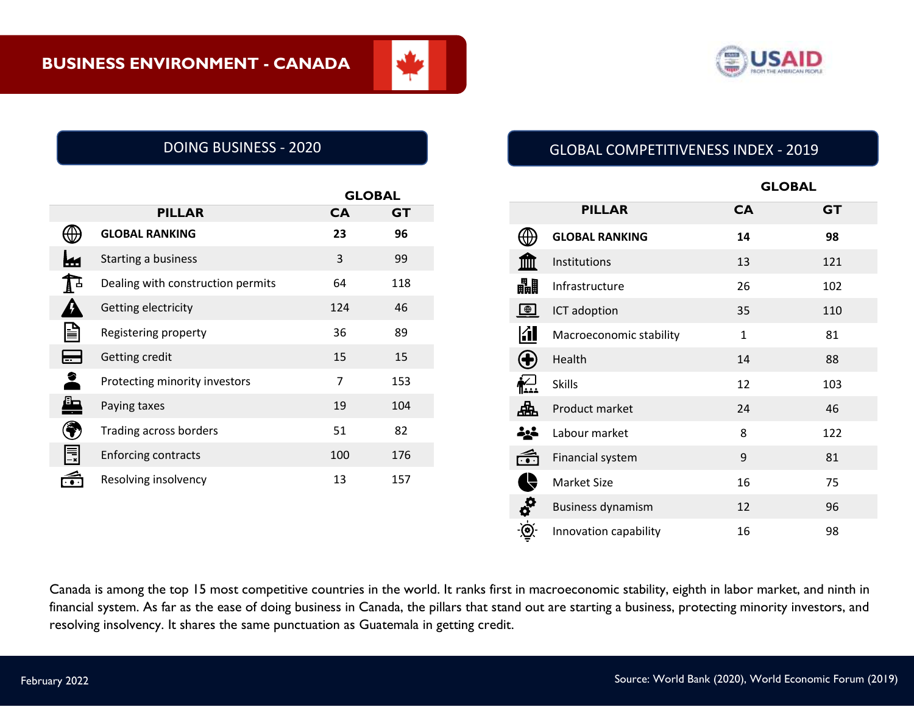

|     |                                   |           | <b>GLOBAL</b> |  |
|-----|-----------------------------------|-----------|---------------|--|
|     | <b>PILLAR</b>                     | <b>CA</b> | <b>GT</b>     |  |
|     | <b>GLOBAL RANKING</b>             | 23        | 96            |  |
|     | Starting a business               | 3         | 99            |  |
| A ∸ | Dealing with construction permits | 64        | 118           |  |
|     | Getting electricity               | 124       | 46            |  |
| ⋚   | Registering property              | 36        | 89            |  |
| E   | Getting credit                    | 15        | 15            |  |
| 2   | Protecting minority investors     | 7         | 153           |  |
| ┻   | Paying taxes                      | 19        | 104           |  |
|     | <b>Trading across borders</b>     | 51        | 82            |  |
| 틙   | <b>Enforcing contracts</b>        | 100       | 176           |  |
|     | Resolving insolvency              | 13        | 157           |  |

# DOING BUSINESS - 2020 GLOBAL COMPETITIVENESS INDEX - 2019

|                                           |                          |              | <b>GLOBAL</b> |  |  |
|-------------------------------------------|--------------------------|--------------|---------------|--|--|
|                                           | <b>PILLAR</b>            | <b>CA</b>    | <b>GT</b>     |  |  |
|                                           | <b>GLOBAL RANKING</b>    | 14           | 98            |  |  |
|                                           | Institutions             | 13           | 121           |  |  |
| 畾                                         | Infrastructure           | 26           | 102           |  |  |
| $\bigoplus$                               | ICT adoption             | 35           | 110           |  |  |
| <u>KI</u>                                 | Macroeconomic stability  | $\mathbf{1}$ | 81            |  |  |
|                                           | Health                   | 14           | 88            |  |  |
| $\sum_{i=1}^{n}$                          | <b>Skills</b>            | 12           | 103           |  |  |
| 盀                                         | Product market           | 24           | 46            |  |  |
| 소스                                        | Labour market            | 8            | 122           |  |  |
| $\widehat{\mathbf{G}}$                    | Financial system         | 9            | 81            |  |  |
|                                           | <b>Market Size</b>       | 16           | 75            |  |  |
| $\boldsymbol{\phi}^{\boldsymbol{\Omega}}$ | <b>Business dynamism</b> | 12           | 96            |  |  |
|                                           | Innovation capability    | 16           | 98            |  |  |

Canada is among the top 15 most competitive countries in the world. It ranks first in macroeconomic stability, eighth in labor market, and ninth in financial system. As far as the ease of doing business in Canada, the pillars that stand out are starting a business, protecting minority investors, and resolving insolvency. It shares the same punctuation as Guatemala in getting credit.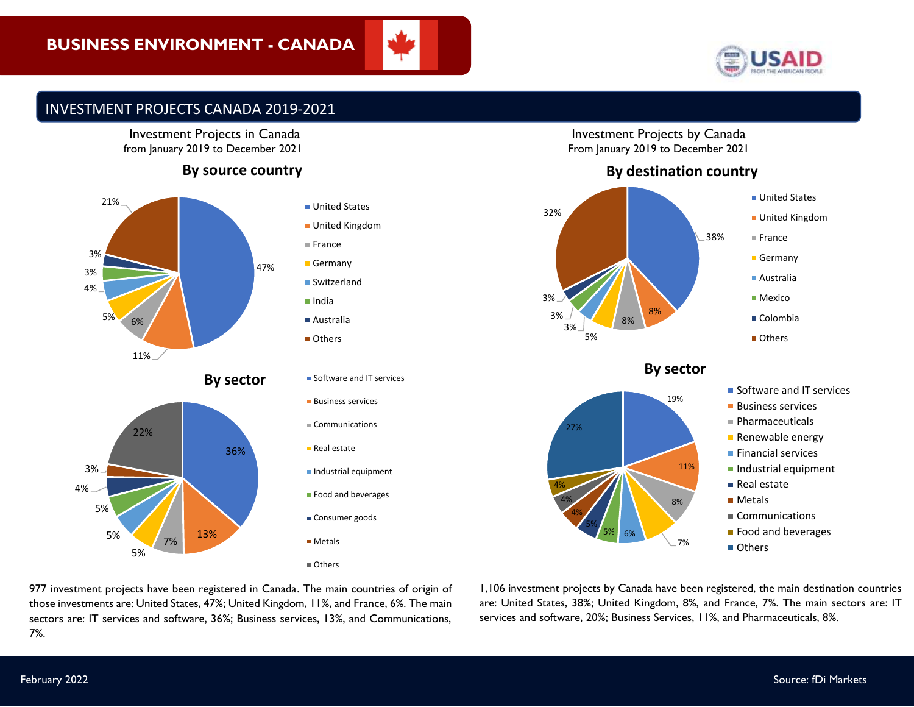# **BUSINESS ENVIRONMENT - CANADA**





# INVESTMENT PROJECTS CANADA 2019-2021

#### Investment Projects in Canada from January 2019 to December 2021

# **By source country**



977 investment projects have been registered in Canada. The main countries of origin of those investments are: United States, 47%; United Kingdom, 11%, and France, 6%. The main sectors are: IT services and software, 36%; Business services, 13%, and Communications, 7%.

#### Investment Projects by Canada From January 2019 to December 2021



## **By sector**



- **Software and IT services**
- **Business services**
- Pharmaceuticals
- **Renewable energy**
- **Financial services**
- **Industrial equipment**
- Real estate
- **Metals**
- Communications
- **Food and beverages**
- Others

1,106 investment projects by Canada have been registered, the main destination countries are: United States, 38%; United Kingdom, 8%, and France, 7%. The main sectors are: IT services and software, 20%; Business Services, 11%, and Pharmaceuticals, 8%.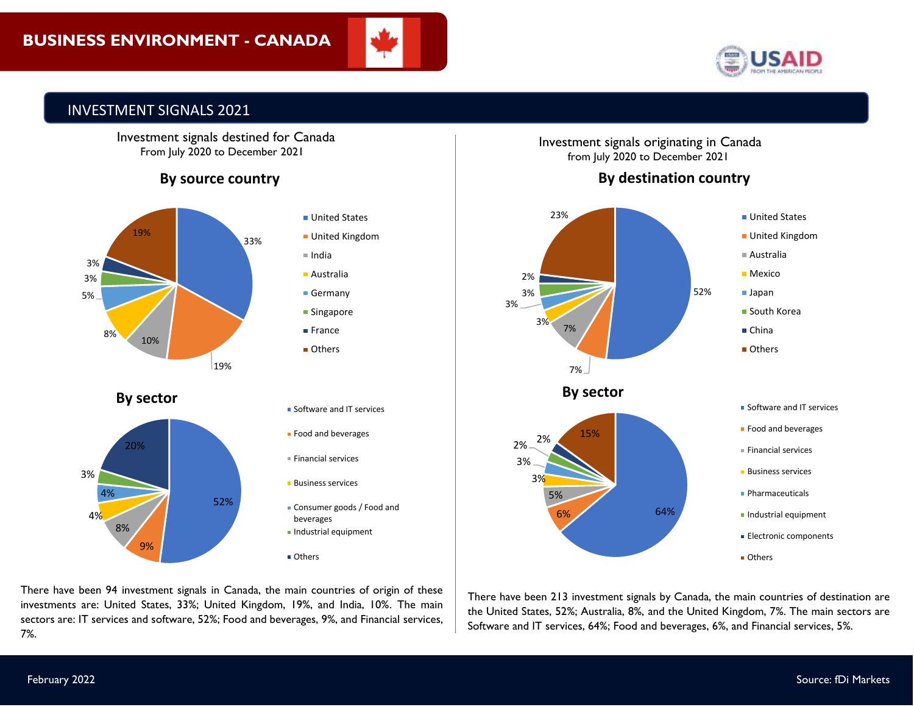



# INVESTMENT SIGNALS 2021

 Investment signals destined for Canada From July 2020 to December 2021

# **By source country**





investments are: United States, 33%; United Kingdom, 19%, and India, 10%. The main There have been 94 investment signals in Canada, the main countries of origin of these sectors are: IT services and software, 52%; Food and beverages, 9%, and Financial services, 7%.

Investment signals originating in Canada from July 2020 to December 2021

# **By destination country**



There have been 213 investment signals by Canada, the main countries of destination are the United States, 52%; Australia, 8%, and the United Kingdom, 7%. The main sectors are Software and IT services, 64%; Food and beverages, 6%, and Financial services, 5%.